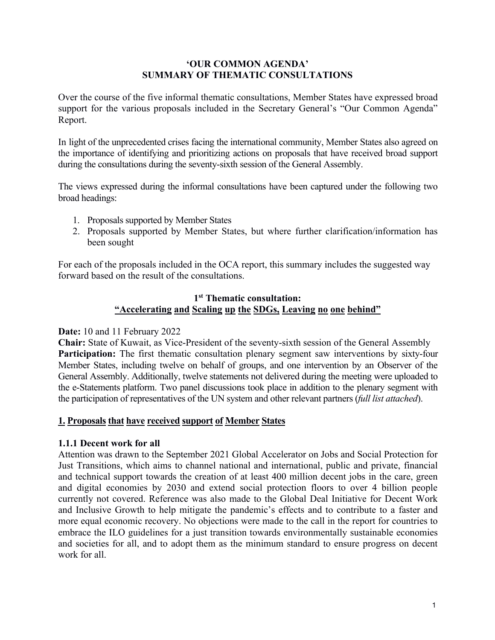## **'OUR COMMON AGENDA' SUMMARY OF THEMATIC CONSULTATIONS**

Over the course of the five informal thematic consultations, Member States have expressed broad support for the various proposals included in the Secretary General's "Our Common Agenda" Report.

In light of the unprecedented crises facing the international community, Member States also agreed on the importance of identifying and prioritizing actions on proposals that have received broad support during the consultations during the seventy-sixth session of the General Assembly.

The views expressed during the informal consultations have been captured under the following two broad headings:

- 1. Proposals supported by Member States
- 2. Proposals supported by Member States, but where further clarification/information has been sought

For each of the proposals included in the OCA report, this summary includes the suggested way forward based on the result of the consultations.

# **1 st Thematic consultation: "Accelerating and Scaling up the SDGs, Leaving no one behind"**

# **Date:** 10 and 11 February 2022

**Chair:** State of Kuwait, as Vice-President of the seventy-sixth session of the General Assembly Participation: The first thematic consultation plenary segment saw interventions by sixty-four Member States, including twelve on behalf of groups, and one intervention by an Observer of the General Assembly. Additionally, twelve statements not delivered during the meeting were uploaded to the e-Statements platform. Two panel discussions took place in addition to the plenary segment with the participation of representatives of the UN system and other relevant partners *(full list attached)*.

# **1. Proposals that have received support of Member States**

### **1.1.1 Decentwork for all**

Attention was drawn to the September 2021 Global Accelerator on Jobs and Social Protection for Just Transitions, which aims to channel national and international, public and private, financial and technical support towards the creation of at least 400 million decent jobs in the care, green and digital economies by 2030 and extend social protection floors to over 4 billion people currently not covered. Reference was also made to the Global Deal Initiative for Decent Work and Inclusive Growth to help mitigate the pandemic's effects and to contribute to a faster and more equal economic recovery. No objections were made to the call in the report for countries to embrace the ILO guidelines for a just transition towards environmentally sustainable economies and societies for all, and to adopt them as the minimum standard to ensure progress on decent work for all.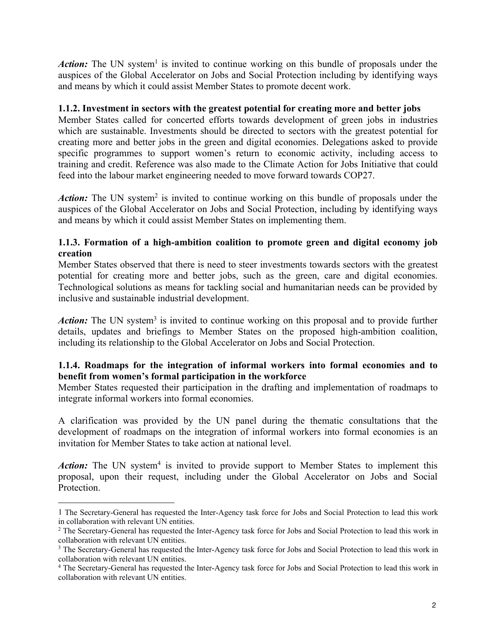Action: The UN system<sup>[1](#page-1-0)</sup> is invited to continue working on this bundle of proposals under the auspices of the Global Accelerator on Jobs and Social Protection including by identifying ways and means by which it could assist Member States to promote decent work.

## **1.1.2. Investment in sectorswith the greatest potential for creating more and better jobs**

Member States called for concerted efforts towards development of green jobs in industries which are sustainable. Investments should be directed to sectors with the greatest potential for creating more and better jobs in the green and digital economies. Delegations asked to provide specific programmes to support women's return to economic activity, including access to training and credit. Reference was also made to the Climate Action for Jobs Initiative that could feed into the labour market engineering needed to move forward towards COP27.

Action: The UN system<sup>[2](#page-1-1)</sup> is invited to continue working on this bundle of proposals under the auspices of the Global Accelerator on Jobs and Social Protection, including by identifying ways and means by which it could assist Member States on implementing them.

# **1.1.3. Formation of a high-ambition coalition to promote green and digital economy job creation**

Member States observed that there is need to steer investments towards sectors with the greatest potential for creating more and better jobs, such as the green, care and digital economies. Technological solutions as means for tackling social and humanitarian needs can be provided by inclusive and sustainable industrial development.

Action: The UN system<sup>[3](#page-1-2)</sup> is invited to continue working on this proposal and to provide further details, updates and briefings to Member States on the proposed high-ambition coalition, including its relationship to the Global Accelerator on Jobs and Social Protection.

# **1.1.4. Roadmaps for the integration of informal workers into formal economies and to benefit from women's formal participation in the workforce**

Member States requested their participation in the drafting and implementation of roadmaps to integrate informal workers into formal economies.

A clarification was provided by the UN panel during the thematic consultations that the development of roadmaps on the integration of informal workers into formal economies is an invitation for Member States to take action at national level.

Action: The UN system<sup>[4](#page-1-3)</sup> is invited to provide support to Member States to implement this proposal, upon their request, including under the Global Accelerator on Jobs and Social Protection.

<span id="page-1-0"></span><sup>1</sup> The Secretary-General has requested the Inter-Agency task force for Jobs and Social Protection to lead this work in collaboration with relevant UN entities.

<span id="page-1-1"></span><sup>&</sup>lt;sup>2</sup> The Secretary-General has requested the Inter-Agency task force for Jobs and Social Protection to lead this work in collaboration with relevant UN entities.

<span id="page-1-2"></span><sup>&</sup>lt;sup>3</sup> The Secretary-General has requested the Inter-Agency task force for Jobs and Social Protection to lead this work in collaboration with relevant UN entities.

<span id="page-1-3"></span><sup>4</sup> The Secretary-General has requested the Inter-Agency task force for Jobs and Social Protection to lead this work in collaboration with relevant UN entities.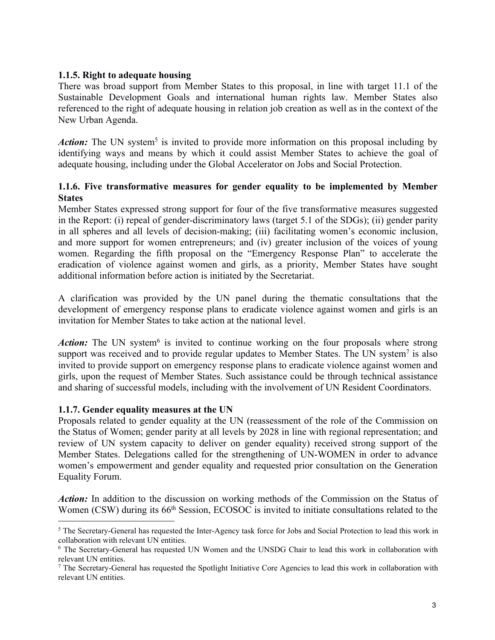## **1.1.5. Right to adequate housing**

There was broad support from Member States to this proposal, in line with target 11.1 of the Sustainable Development Goals and international human rights law. Member States also referenced to the right of adequate housing in relation job creation as well as in the context of the New Urban Agenda.

Action: The UN system<sup>[5](#page-2-0)</sup> is invited to provide more information on this proposal including by identifying ways and means by which it could assist Member States to achieve the goal of adequate housing, including under the Global Accelerator on Jobs and Social Protection.

# **1.1.6. Five transformative measures for gender equality to be implemented by Member States**

Member States expressed strong support for four of the five transformative measures suggested in the Report: (i) repeal of gender-discriminatory laws(target 5.1 of the SDGs); (ii) gender parity in all spheres and all levels of decision-making; (iii) facilitating women's economic inclusion, and more support for women entrepreneurs; and (iv) greater inclusion of the voices of young women. Regarding the fifth proposal on the "Emergency Response Plan" to accelerate the eradication of violence against women and girls, as a priority, Member States have sought additional information before action is initiated by the Secretariat.

A clarification was provided by the UN panel during the thematic consultations that the development of emergency response plans to eradicate violence against women and girls is an invitation for Member States to take action at the national level.

Action: The UN system<sup>[6](#page-2-1)</sup> is invited to continue working on the four proposals where strong support was received and to provide regular updates to Member States. The UN system<sup>[7](#page-2-2)</sup> is also invited to provide support on emergency response plans to eradicate violence against women and girls, upon the request of Member States. Such assistance could be through technical assistance and sharing of successful models, including with the involvement of UN Resident Coordinators.

# **1.1.7. Gender equality measures atthe UN**

Proposals related to gender equality at the UN (reassessment of the role of the Commission on the Status of Women; gender parity at all levels by 2028 in line with regional representation; and review of UN system capacity to deliver on gender equality) received strong support of the Member States. Delegations called for the strengthening of UN-WOMEN in order to advance women's empowerment and gender equality and requested prior consultation on the Generation Equality Forum.

*Action:* In addition to the discussion on working methods of the Commission on the Status of Women (CSW) during its 66<sup>th</sup> Session, ECOSOC is invited to initiate consultations related to the

<span id="page-2-0"></span><sup>&</sup>lt;sup>5</sup> The Secretary-General has requested the Inter-Agency task force for Jobs and Social Protection to lead this work in collaboration with relevant UN entities.

<span id="page-2-1"></span><sup>6</sup> The Secretary-General has requested UN Women and the UNSDG Chair to lead this work in collaboration with relevant UN entities.

<span id="page-2-2"></span><sup>7</sup> The Secretary-General has requested the Spotlight Initiative Core Agencies to lead this work in collaboration with relevant UN entities.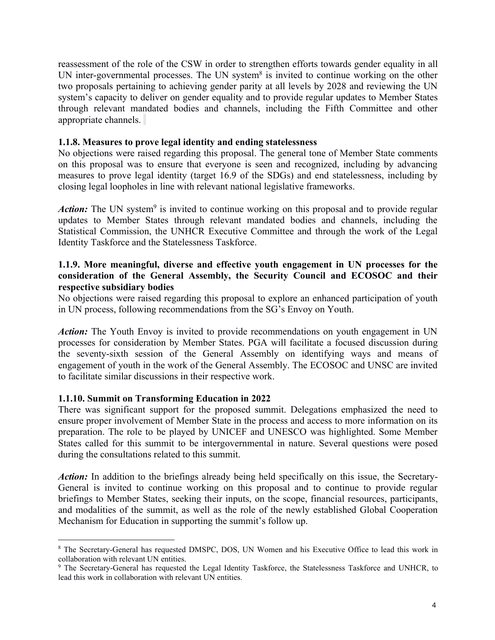reassessment of the role of the CSW in order to strengthen efforts towards gender equality in all UN inter-governmental processes. The UN system<sup>[8](#page-3-0)</sup> is invited to continue working on the other two proposals pertaining to achieving gender parity at all levels by 2028 and reviewing the UN system's capacity to deliver on gender equality and to provide regular updates to Member States through relevant mandated bodies and channels, including the Fifth Committee and other appropriate channels.

## **1.1.8. Measures to prove legal identity and ending statelessness**

No objections were raised regarding this proposal. The general tone of Member State comments on this proposal was to ensure that everyone is seen and recognized, including by advancing measures to prove legal identity (target 16.9 of the SDGs) and end statelessness, including by closing legal loopholes in line with relevant national legislative frameworks.

Action: The UN system<sup>[9](#page-3-1)</sup> is invited to continue working on this proposal and to provide regular updates to Member States through relevant mandated bodies and channels, including the Statistical Commission, the UNHCR Executive Committee and through the work of the Legal Identity Taskforce and the Statelessness Taskforce.

## **1.1.9. More meaningful, diverse and effective youth engagement in UN processes for the consideration of the General Assembly, the Security Council and ECOSOC and their respective subsidiary bodies**

No objections were raised regarding this proposal to explore an enhanced participation of youth in UN process, following recommendations from the SG's Envoy on Youth.

*Action:* The Youth Envoy is invited to provide recommendations on youth engagement in UN processes for consideration by Member States. PGA will facilitate a focused discussion during the seventy-sixth session of the General Assembly on identifying ways and means of engagement of youth in the work of the General Assembly. The ECOSOC and UNSC are invited to facilitate similar discussions in their respective work.

# **1.1.10. Summit on Transforming Education in 2022**

There was significant support for the proposed summit. Delegations emphasized the need to ensure proper involvement of Member State in the process and access to more information on its preparation. The role to be played by UNICEF and UNESCO was highlighted. Some Member States called for this summit to be intergovernmental in nature. Several questions were posed during the consultations related to this summit.

*Action:* In addition to the briefings already being held specifically on this issue, the Secretary-General is invited to continue working on this proposal and to continue to provide regular briefings to Member States, seeking their inputs, on the scope, financial resources, participants, and modalities of the summit, as well as the role of the newly established Global Cooperation Mechanism for Education in supporting the summit's follow up.

<span id="page-3-0"></span><sup>8</sup> The Secretary-General has requested DMSPC, DOS, UN Women and his Executive Office to lead this work in collaboration with relevant UN entities.

<span id="page-3-1"></span><sup>9</sup> The Secretary-General has requested the Legal Identity Taskforce, the Statelessness Taskforce and UNHCR, to lead this work in collaboration with relevant UN entities.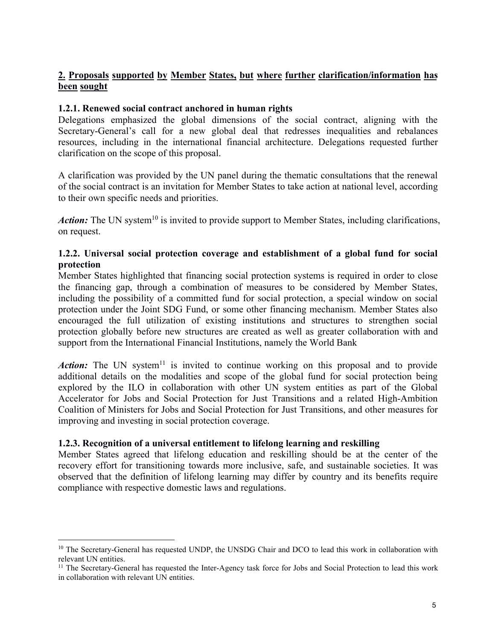# **2. Proposals supported by Member States, but where further clarification/information has been sought**

# **1.2.1. Renewed social contract anchored in human rights**

Delegations emphasized the global dimensions of the social contract, aligning with the Secretary-General's call for a new global deal that redresses inequalities and rebalances resources, including in the international financial architecture. Delegations requested further clarification on the scope of this proposal.

A clarification was provided by the UN panel during the thematic consultations that the renewal of the social contract is an invitation for Member States to take action at national level, according to their own specific needs and priorities.

Action: The UN system<sup>[10](#page-4-0)</sup> is invited to provide support to Member States, including clarifications, on request.

## **1.2.2. Universal social protection coverage and establishment of a global fund for social protection**

Member States highlighted that financing social protection systems is required in order to close the financing gap, through a combination of measures to be considered by Member States, including the possibility of a committed fund for social protection, a special window on social protection under the Joint SDG Fund, or some other financing mechanism. Member States also encouraged the full utilization of existing institutions and structures to strengthen social protection globally before new structures are created as well as greater collaboration with and support from the International Financial Institutions, namely the World Bank

Action: The UN system<sup>[11](#page-4-1)</sup> is invited to continue working on this proposal and to provide additional details on the modalities and scope of the global fund for social protection being explored by the ILO in collaboration with other UN system entities as part of the Global Accelerator for Jobs and Social Protection for Just Transitions and a related High-Ambition Coalition of Ministers for Jobs and Social Protection for Just Transitions, and other measures for improving and investing in social protection coverage.

# **1.2.3. Recognition of a universalentitlement to lifelong learning and reskilling**

Member States agreed that lifelong education and reskilling should be at the center of the recovery effort for transitioning towards more inclusive, safe, and sustainable societies. It was observed that the definition of lifelong learning may differ by country and its benefits require compliance with respective domestic laws and regulations.

<span id="page-4-0"></span><sup>&</sup>lt;sup>10</sup> The Secretary-General has requested UNDP, the UNSDG Chair and DCO to lead this work in collaboration with relevant UN entities.

<span id="page-4-1"></span><sup>&</sup>lt;sup>11</sup> The Secretary-General has requested the Inter-Agency task force for Jobs and Social Protection to lead this work in collaboration with relevant UN entities.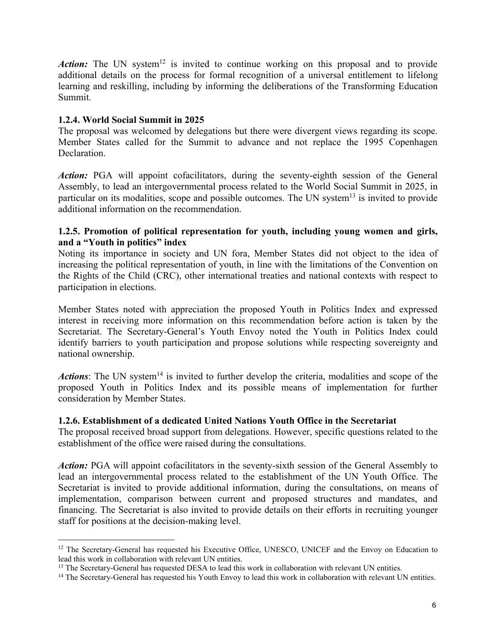Action: The UN system<sup>[12](#page-5-0)</sup> is invited to continue working on this proposal and to provide additional details on the process for formal recognition of a universal entitlement to lifelong learning and reskilling, including by informing the deliberations of the Transforming Education Summit.

# **1.2.4. World Social Summit in 2025**

The proposal was welcomed by delegations but there were divergent views regarding its scope. Member States called for the Summit to advance and not replace the 1995 Copenhagen **Declaration** 

Action: PGA will appoint cofacilitators, during the seventy-eighth session of the General Assembly, to lead an intergovernmental process related to the World Social Summit in 2025, in particular on its modalities, scope and possible outcomes. The UN system<sup>[13](#page-5-1)</sup> is invited to provide additional information on the recommendation.

## **1.2.5. Promotion of political representation for youth, including young women and girls, and a "Youth in politics" index**

Noting its importance in society and UN fora, Member States did not object to the idea of increasing the political representation of youth, in line with the limitations of the Convention on the Rights of the Child (CRC), other international treaties and national contexts with respect to participation in elections.

Member States noted with appreciation the proposed Youth in Politics Index and expressed interest in receiving more information on this recommendation before action is taken by the Secretariat. The Secretary-General's Youth Envoy noted the Youth in Politics Index could identify barriers to youth participation and propose solutions while respecting sovereignty and national ownership.

Actions: The UN system<sup>[14](#page-5-2)</sup> is invited to further develop the criteria, modalities and scope of the proposed Youth in Politics Index and its possible means of implementation for further consideration by Member States.

# **1.2.6. Establishment of a dedicated United Nations Youth Office in the Secretariat**

The proposal received broad support from delegations. However, specific questions related to the establishment of the office were raised during the consultations.

*Action:* PGA will appoint cofacilitators in the seventy-sixth session of the General Assembly to lead an intergovernmental process related to the establishment of the UN Youth Office. The Secretariat is invited to provide additional information, during the consultations, on means of implementation, comparison between current and proposed structures and mandates, and financing. The Secretariat is also invited to provide details on their efforts in recruiting younger staff for positions at the decision-making level.

<span id="page-5-0"></span><sup>&</sup>lt;sup>12</sup> The Secretary-General has requested his Executive Office, UNESCO, UNICEF and the Envoy on Education to lead this work in collaboration with relevant UN entities.

<span id="page-5-1"></span><sup>&</sup>lt;sup>13</sup> The Secretary-General has requested DESA to lead this work in collaboration with relevant UN entities.

<span id="page-5-2"></span><sup>&</sup>lt;sup>14</sup> The Secretary-General has requested his Youth Envoy to lead this work in collaboration with relevant UN entities.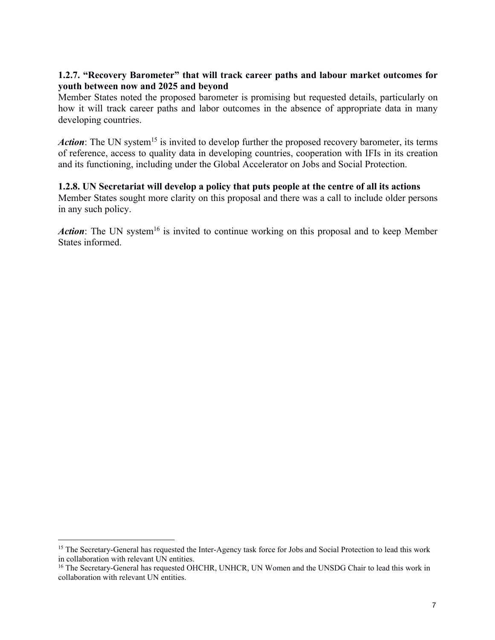## **1.2.7. "Recovery Barometer" that will track career paths and labour market outcomes for youth between now and 2025 and beyond**

Member States noted the proposed barometer is promising but requested details, particularly on how it will track career paths and labor outcomes in the absence of appropriate data in many developing countries.

Action: The UN system<sup>[15](#page-6-0)</sup> is invited to develop further the proposed recovery barometer, its terms of reference, access to quality data in developing countries, cooperation with IFIs in its creation and its functioning, including under the Global Accelerator on Jobs and Social Protection.

## **1.2.8. UN Secretariat will develop a policy that puts people at the centre of all its actions**

Member States sought more clarity on this proposal and there was a call to include older persons in any such policy.

Action: The UN system<sup>[16](#page-6-1)</sup> is invited to continue working on this proposal and to keep Member States informed.

<span id="page-6-0"></span><sup>&</sup>lt;sup>15</sup> The Secretary-General has requested the Inter-Agency task force for Jobs and Social Protection to lead this work in collaboration with relevant UN entities.

<span id="page-6-1"></span><sup>&</sup>lt;sup>16</sup> The Secretary-General has requested OHCHR, UNHCR, UN Women and the UNSDG Chair to lead this work in collaboration with relevant UN entities.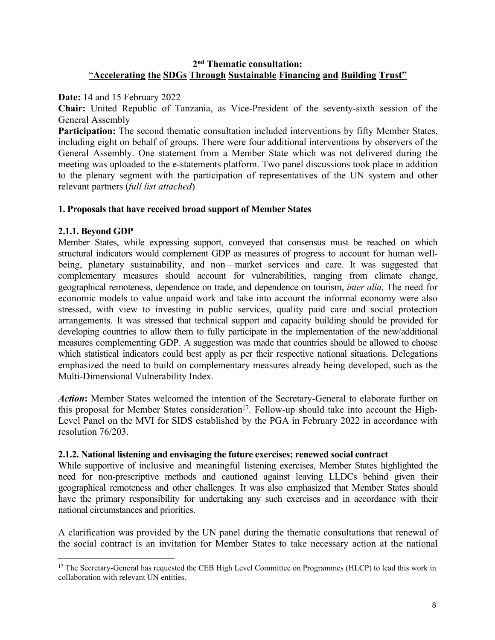## **2 nd Thematic consultation:** "**Accelerating the SDGs Through Sustainable Financing and Building Trust"**

**Date:** 14 and 15 February 2022

**Chair:** United Republic of Tanzania, as Vice-President of the seventy-sixth session of the General Assembly

**Participation:** The second thematic consultation included interventions by fifty Member States, including eight on behalf of groups. There were four additional interventions by observers of the General Assembly. One statement from a Member State which was not delivered during the meeting was uploaded to the e-statements platform. Two panel discussions took place in addition to the plenary segment with the participation of representatives of the UN system and other relevant partners (*full list attached*)

## **1. Proposals that have received broad support of Member States**

## **2.1.1. Beyond GDP**

Member States, while expressing support, conveyed that consensus must be reached on which structural indicators would complement GDP as measures of progress to account for human well being, planetary sustainability, and non—market services and care. It was suggested that complementary measures should account for vulnerabilities, ranging from climate change, geographical remoteness, dependence on trade, and dependence on tourism, *inter alia*. The need for economic models to value unpaid work and take into account the informal economy were also stressed, with view to investing in public services, quality paid care and social protection arrangements. It was stressed that technical support and capacity building should be provided for developing countries to allow them to fully participate in the implementation of the new/additional measures complementing GDP. A suggestion was made that countries should be allowed to choose which statistical indicators could best apply as per their respective national situations. Delegations emphasized the need to build on complementary measures already being developed, such as the Multi-Dimensional Vulnerability Index.

*Action***:** Member States welcomed the intention of the Secretary-General to elaborate further on this proposal for Member States consideration [17](#page-7-0) . Follow-up should take into account the High- Level Panel on the MVI for SIDS established by the PGA in February 2022 in accordance with resolution 76/203.

### **2.1.2. National listening and envisaging the future exercises; renewed social contract**

While supportive of inclusive and meaningful listening exercises, Member States highlighted the need for non-prescriptive methods and cautioned against leaving LLDCs behind given their geographical remoteness and other challenges. It was also emphasized that Member States should have the primary responsibility for undertaking any such exercises and in accordance with their national circumstances and priorities.

A clarification was provided by the UN panel during the thematic consultations that renewal of the social contract is an invitation for Member States to take necessary action at the national

<span id="page-7-0"></span><sup>&</sup>lt;sup>17</sup> The Secretary-General has requested the CEB High Level Committee on Programmes (HLCP) to lead this work in collaboration with relevant UN entities.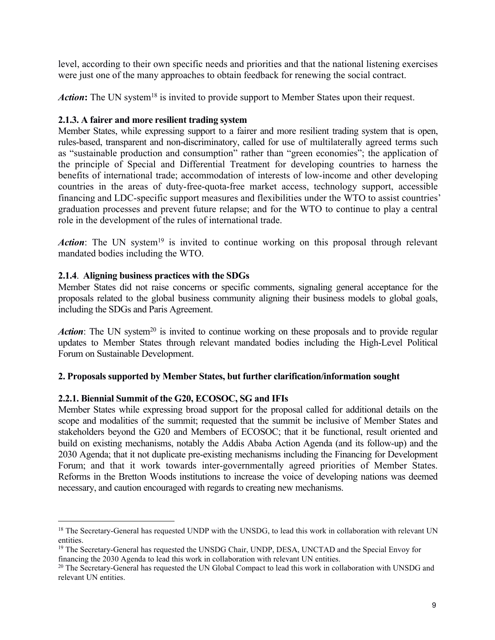level, according to their own specific needs and priorities and that the national listening exercises were just one of the many approaches to obtain feedback for renewing the social contract.

Action: The UN system<sup>[18](#page-8-0)</sup> is invited to provide support to Member States upon their request.

# **2.1.3. A fairer and more resilient trading system**

Member States, while expressing support to a fairer and more resilient trading system that is open, rules-based, transparent and non-discriminatory, called for use of multilaterally agreed terms such as "sustainable production and consumption" rather than "green economies"; the application of the principle of Special and Differential Treatment for developing countries to harness the benefits of international trade; accommodation of interests of low-income and other developing countries in the areas of duty-free-quota-free market access, technology support, accessible financing and LDC-specific support measures and flexibilities under the WTO to assist countries' graduation processes and prevent future relapse; and for the WTO to continue to play a central role in the development of the rules of international trade.

Action: The UN system<sup>[19](#page-8-1)</sup> is invited to continue working on this proposal through relevant mandated bodies including the WTO.

# **2.1.4**. **Aligning business practices with the SDGs**

Member States did not raise concerns or specific comments, signaling general acceptance for the proposals related to the global business community aligning their business models to global goals, including the SDGs and Paris Agreement.

Action: The UN system<sup>[20](#page-8-2)</sup> is invited to continue working on these proposals and to provide regular updates to Member States through relevant mandated bodies including the High-Level Political Forum on Sustainable Development.

# **2. Proposals supported by Member States, but further clarification/information sought**

# **2.2.1. Biennial Summit of the G20, ECOSOC, SG and IFIs**

Member States while expressing broad support for the proposal called for additional details on the scope and modalities of the summit; requested that the summit be inclusive of Member States and stakeholders beyond the G20 and Members of ECOSOC; that it be functional, result oriented and build on existing mechanisms, notably the Addis Ababa Action Agenda (and its follow-up) and the 2030 Agenda; that it not duplicate pre-existing mechanisms including the Financing for Development Forum; and that it work towards inter-governmentally agreed priorities of Member States. Reforms in the Bretton Woods institutions to increase the voice of developing nations was deemed necessary, and caution encouraged with regards to creating new mechanisms.

<span id="page-8-0"></span><sup>&</sup>lt;sup>18</sup> The Secretary-General has requested UNDP with the UNSDG, to lead this work in collaboration with relevant UN entities.

<span id="page-8-1"></span><sup>&</sup>lt;sup>19</sup> The Secretary-General has requested the UNSDG Chair, UNDP, DESA, UNCTAD and the Special Envoy for financing the 2030 Agenda to lead this work in collaboration with relevant UN entities.

<span id="page-8-2"></span><sup>&</sup>lt;sup>20</sup> The Secretary-General has requested the UN Global Compact to lead this work in collaboration with UNSDG and relevant UN entities.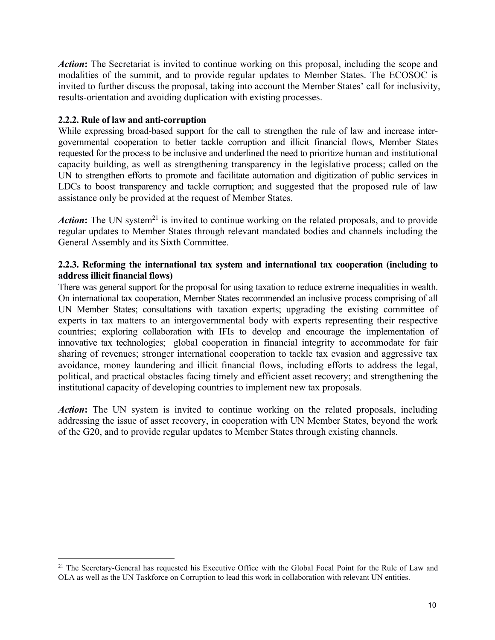*Action***:** The Secretariat is invited to continue working on this proposal, including the scope and modalities of the summit, and to provide regular updates to Member States. The ECOSOC is invited to further discuss the proposal, taking into account the Member States' call for inclusivity, results-orientation and avoiding duplication with existing processes.

## **2.2.2. Rule of law and anti-corruption**

While expressing broad-based support for the call to strengthen the rule of law and increase inter governmental cooperation to better tackle corruption and illicit financial flows, Member States requested for the process to be inclusive and underlined the need to prioritize human and institutional capacity building, as well as strengthening transparency in the legislative process; called on the UN to strengthen efforts to promote and facilitate automation and digitization of public services in LDCs to boost transparency and tackle corruption; and suggested that the proposed rule of law assistance only be provided at the request of Member States.

Action: The UN system<sup>[21](#page-9-0)</sup> is invited to continue working on the related proposals, and to provide regular updates to Member States through relevant mandated bodies and channels including the General Assembly and its Sixth Committee.

### **2.2.3. Reforming the international tax system and international tax cooperation (including to address illicit financial flows)**

There was general support for the proposal for using taxation to reduce extreme inequalities in wealth. On international tax cooperation, Member States recommended an inclusive process comprising of all UN Member States; consultations with taxation experts; upgrading the existing committee of experts in tax matters to an intergovernmental body with experts representing their respective countries; exploring collaboration with IFIs to develop and encourage the implementation of innovative tax technologies; global cooperation in financial integrity to accommodate for fair sharing of revenues; stronger international cooperation to tackle tax evasion and aggressive tax avoidance, money laundering and illicit financial flows, including efforts to address the legal, political, and practical obstacles facing timely and efficient asset recovery; and strengthening the institutional capacity of developing countries to implement new tax proposals.

*Action***:** The UN system is invited to continue working on the related proposals, including addressing the issue of asset recovery, in cooperation with UN Member States, beyond the work of the G20, and to provide regular updates to Member States through existing channels.

<span id="page-9-0"></span><sup>&</sup>lt;sup>21</sup> The Secretary-General has requested his Executive Office with the Global Focal Point for the Rule of Law and OLA as well as the UN Taskforce on Corruption to lead this work in collaboration with relevant UN entities.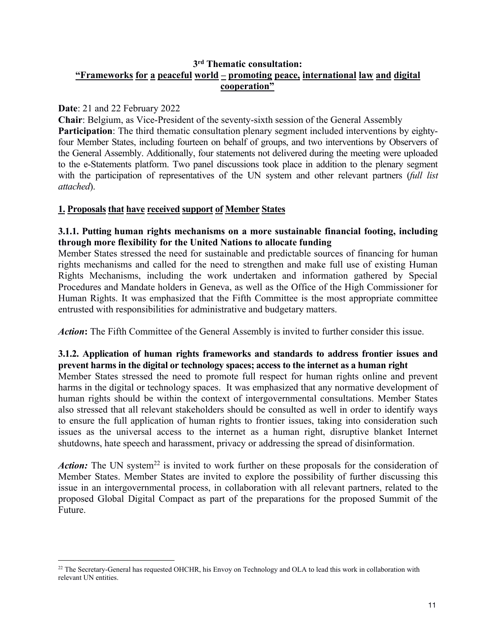# **3 rd Thematic consultation: "Frameworks for a peaceful world – promoting peace, international law and digital cooperation"**

## **Date**: 21 and 22 February 2022

**Chair**: Belgium, as Vice-President of the seventy-sixth session of the General Assembly **Participation**: The third thematic consultation plenary segment included interventions by eightyfour Member States, including fourteen on behalf of groups, and two interventions by Observers of the General Assembly. Additionally, four statements not delivered during the meeting were uploaded to the e-Statements platform. Two panel discussions took place in addition to the plenary segment with the participation of representatives of the UN system and other relevant partners (*full list attached*).

# **1. Proposals that have received support of Member States**

## **3.1.1. Putting human rights mechanisms on a more sustainable financial footing, including through more flexibility for the United Nations to allocate funding**

Member States stressed the need for sustainable and predictable sources of financing for human rights mechanisms and called for the need to strengthen and make full use of existing Human Rights Mechanisms, including the work undertaken and information gathered by Special Procedures and Mandate holders in Geneva, as well as the Office of the High Commissioner for Human Rights. It was emphasized that the Fifth Committee is the most appropriate committee entrusted with responsibilities for administrative and budgetary matters.

*Action***:** The Fifth Committee of the General Assembly is invited to further consider this issue.

## **3.1.2. Application of human rights frameworks and standards to address frontier issues and prevent harms in the digital or technology spaces;access to the internet as a human right**

Member States stressed the need to promote full respect for human rights online and prevent harms in the digital or technology spaces. It was emphasized that any normative development of human rights should be within the context of intergovernmental consultations. Member States also stressed that all relevant stakeholders should be consulted as well in order to identify ways to ensure the full application of human rights to frontier issues, taking into consideration such issues as the universal access to the internet as a human right, disruptive blanket Internet shutdowns, hate speech and harassment, privacy or addressing the spread of disinformation.

Action: The UN system<sup>[22](#page-10-0)</sup> is invited to work further on these proposals for the consideration of Member States. Member States are invited to explore the possibility of further discussing this issue in an intergovernmental process, in collaboration with all relevant partners, related to the proposed Global Digital Compact as part of the preparations for the proposed Summit of the Future.

<span id="page-10-0"></span><sup>&</sup>lt;sup>22</sup> The Secretary-General has requested OHCHR, his Envoy on Technology and OLA to lead this work in collaboration with relevant UN entities.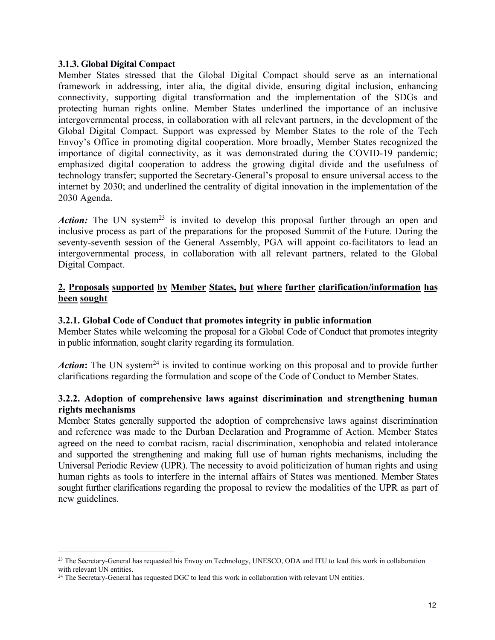### **3.1.3. Global Digital Compact**

Member States stressed that the Global Digital Compact should serve as an international framework in addressing, inter alia, the digital divide, ensuring digital inclusion, enhancing connectivity, supporting digital transformation and the implementation of the SDGs and protecting human rights online. Member States underlined the importance of an inclusive intergovernmental process, in collaboration with all relevant partners, in the development of the Global Digital Compact. Support was expressed by Member States to the role of the Tech Envoy's Office in promoting digital cooperation. More broadly, Member States recognized the importance of digital connectivity, as it was demonstrated during the COVID-19 pandemic; emphasized digital cooperation to address the growing digital divide and the usefulness of technology transfer; supported the Secretary-General's proposal to ensure universal access to the internet by 2030; and underlined the centrality of digital innovation in the implementation of the 2030 Agenda.

Action: The UN system<sup>[23](#page-11-0)</sup> is invited to develop this proposal further through an open and inclusive process as part of the preparations for the proposed Summit of the Future. During the seventy-seventh session of the General Assembly, PGA will appoint co-facilitators to lead an intergovernmental process, in collaboration with all relevant partners, related to the Global Digital Compact.

## **2. Proposals supported by Member States, but where further clarification/information has been sought**

### **3.2.1. Global Code of Conduct that promotes integrity in public information**

Member States while welcoming the proposal for a Global Code of Conduct that promotes integrity in public information, sought clarity regarding its formulation.

Action: The UN system<sup>[24](#page-11-1)</sup> is invited to continue working on this proposal and to provide further clarifications regarding the formulation and scope of the Code of Conduct to Member States.

### **3.2.2. Adoption of comprehensive laws against discrimination and strengthening human rights mechanisms**

Member States generally supported the adoption of comprehensive laws against discrimination and reference was made to the Durban Declaration and Programme of Action. Member States agreed on the need to combat racism, racial discrimination, xenophobia and related intolerance and supported the strengthening and making full use of human rights mechanisms, including the Universal Periodic Review (UPR). The necessity to avoid politicization of human rights and using human rights as tools to interfere in the internal affairs of States was mentioned. Member States sought further clarifications regarding the proposal to review the modalities of the UPR as part of new guidelines.

<span id="page-11-0"></span><sup>&</sup>lt;sup>23</sup> The Secretary-General has requested his Envoy on Technology, UNESCO, ODA and ITU to lead this work in collaboration with relevant UN entities.

<span id="page-11-1"></span><sup>&</sup>lt;sup>24</sup> The Secretary-General has requested DGC to lead this work in collaboration with relevant UN entities.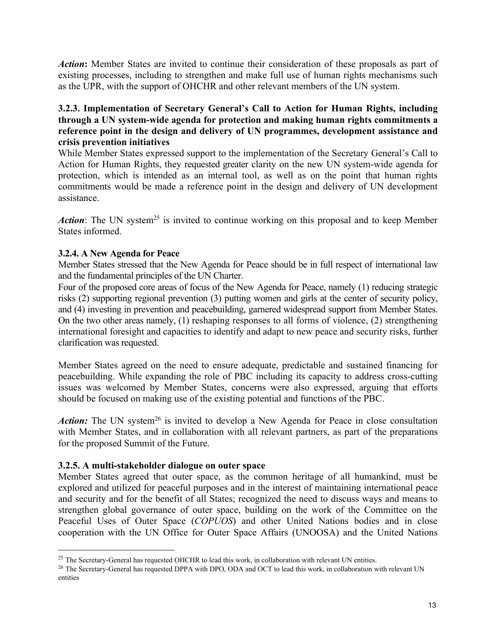*Action***:** Member States are invited to continue their consideration of these proposals as part of existing processes, including to strengthen and make full use of human rights mechanisms such as the UPR, with the support of OHCHR and other relevant members of the UN system.

# **3.2.3. Implementation of Secretary General's Callto Action for Human Rights, including through a UN system-wide agenda for protection and making human rights commitments a reference point in the design and delivery of UN programmes, development assistance and crisis prevention initiatives**

While Member States expressed support to the implementation of the Secretary General's Call to Action for Human Rights, they requested greater clarity on the new UN system-wide agenda for protection, which is intended as an internal tool, as well as on the point that human rights commitments would be made a reference point in the design and delivery of UN development assistance.

Action: The UN system<sup>[25](#page-12-0)</sup> is invited to continue working on this proposal and to keep Member States informed.

# **3.2.4. A New Agenda for Peace**

Member States stressed that the New Agenda for Peace should be in full respect of international law and the fundamental principles of the UN Charter.

Four of the proposed core areas of focus of the New Agenda for Peace, namely (1) reducing strategic risks (2) supporting regional prevention (3) putting women and girls at the center of security policy, and (4) investing in prevention and peacebuilding, garnered widespread support from Member States. On the two other areas namely, (1) reshaping responses to all forms of violence, (2) strengthening international foresight and capacities to identify and adapt to new peace and security risks, further clarification was requested.

Member States agreed on the need to ensure adequate, predictable and sustained financing for peacebuilding. While expanding the role of PBC including its capacity to address cross-cutting issues was welcomed by Member States, concerns were also expressed, arguing that efforts should be focused on making use of the existing potential and functions of the PBC.

Action: The UN system<sup>[26](#page-12-1)</sup> is invited to develop a New Agenda for Peace in close consultation with Member States, and in collaboration with all relevant partners, as part of the preparations for the proposed Summit of the Future.

# **3.2.5. A multi-stakeholder dialogue on outer space**

Member States agreed that outer space, as the common heritage of all humankind, must be explored and utilized for peaceful purposes and in the interest of maintaining international peace and security and for the benefit of all States; recognized the need to discuss ways and means to strengthen global governance of outer space, building on the work of the Committee on the Peaceful Uses of Outer Space (*COPUOS*) and other United Nations bodies and in close cooperation with the UN Office for Outer Space Affairs (UNOOSA) and the United Nations

<span id="page-12-0"></span><sup>&</sup>lt;sup>25</sup> The Secretary-General has requested OHCHR to lead this work, in collaboration with relevant UN entities.

<span id="page-12-1"></span><sup>&</sup>lt;sup>26</sup> The Secretary-General has requested DPPA with DPO, ODA and OCT to lead this work, in collaboration with relevant UN entities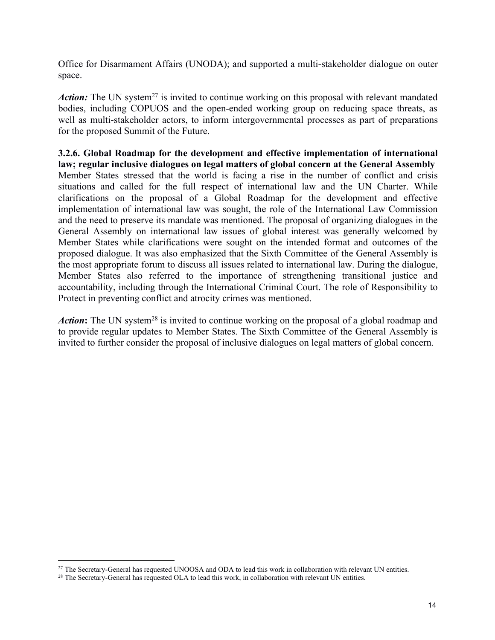Office for Disarmament Affairs (UNODA); and supported a multi-stakeholder dialogue on outer space.

Action: The UN system<sup>[27](#page-13-0)</sup> is invited to continue working on this proposal with relevant mandated bodies, including COPUOS and the open-ended working group on reducing space threats, as well as multi-stakeholder actors, to inform intergovernmental processes as part of preparations for the proposed Summit of the Future.

**3.2.6. Global Roadmap for the development and effective implementation of international law; regular inclusive dialogues on legal matters of global concern at the General Assembly** Member States stressed that the world is facing a rise in the number of conflict and crisis situations and called for the full respect of international law and the UN Charter. While clarifications on the proposal of a Global Roadmap for the development and effective implementation of international law was sought, the role of the International Law Commission and the need to preserve its mandate was mentioned. The proposal of organizing dialogues in the General Assembly on international law issues of global interest was generally welcomed by Member States while clarifications were sought on the intended format and outcomes of the proposed dialogue. It was also emphasized that the Sixth Committee of the General Assembly is the most appropriate forum to discuss all issues related to international law. During the dialogue, Member States also referred to the importance of strengthening transitional justice and accountability, including through the International Criminal Court. The role of Responsibility to Protect in preventing conflict and atrocity crimes was mentioned.

Action: The UN system<sup>[28](#page-13-1)</sup> is invited to continue working on the proposal of a global roadmap and to provide regular updates to Member States. The Sixth Committee of the General Assembly is invited to further consider the proposal of inclusive dialogues on legal matters of global concern.

<span id="page-13-0"></span><sup>&</sup>lt;sup>27</sup> The Secretary-General has requested UNOOSA and ODA to lead this work in collaboration with relevant UN entities.

<span id="page-13-1"></span><sup>&</sup>lt;sup>28</sup> The Secretary-General has requested OLA to lead this work, in collaboration with relevant UN entities.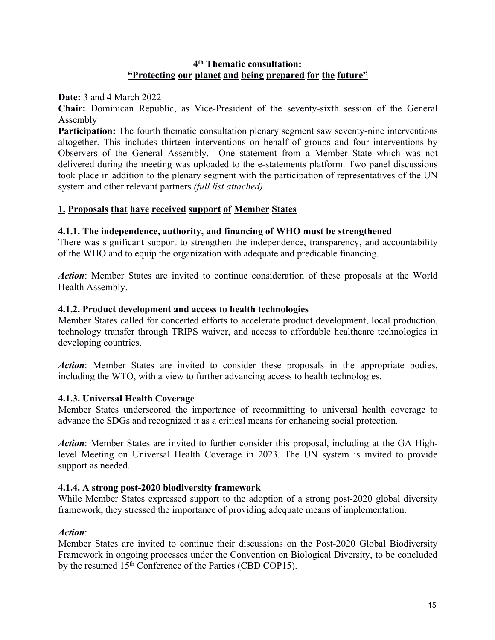## **4 th Thematic consultation: "Protecting our planet and being prepared for the future"**

**Date:** 3 and 4 March 2022

**Chair:** Dominican Republic, as Vice-President of the seventy-sixth session of the General Assembly

**Participation:** The fourth thematic consultation plenary segment saw seventy-nine interventions altogether. This includes thirteen interventions on behalf of groups and four interventions by Observers of the General Assembly. One statement from a Member State which was not delivered during the meeting was uploaded to the e-statements platform. Two panel discussions took place in addition to the plenary segment with the participation of representatives of the UN system and other relevant partners *(full list attached).*

# **1. Proposals that have received support of Member States**

# **4.1.1. The independence, authority, and financing of WHO must be strengthened**

There was significant support to strengthen the independence, transparency, and accountability of the WHO and to equip the organization with adequate and predicable financing.

*Action*: Member States are invited to continue consideration of these proposals at the World Health Assembly.

## **4.1.2. Product development and access to health technologies**

Member States called for concerted efforts to accelerate product development, local production, technology transfer through TRIPS waiver, and access to affordable healthcare technologies in developing countries.

*Action*: Member States are invited to consider these proposals in the appropriate bodies, including the WTO, with a view to further advancing access to health technologies.

# **4.1.3. Universal Health Coverage**

Member States underscored the importance of recommitting to universal health coverage to advance the SDGs and recognized it as a critical means for enhancing social protection.

*Action*: Member States are invited to further consider this proposal, including at the GA Highlevel Meeting on Universal Health Coverage in 2023. The UN system is invited to provide support as needed.

### **4.1.4. A strong post-2020 biodiversity framework**

While Member States expressed support to the adoption of a strong post-2020 global diversity framework, they stressed the importance of providing adequate means of implementation.

# *Action*:

Member States are invited to continue their discussions on the Post-2020 Global Biodiversity Framework in ongoing processes under the Convention on Biological Diversity, to be concluded by the resumed 15<sup>th</sup> Conference of the Parties (CBD COP15).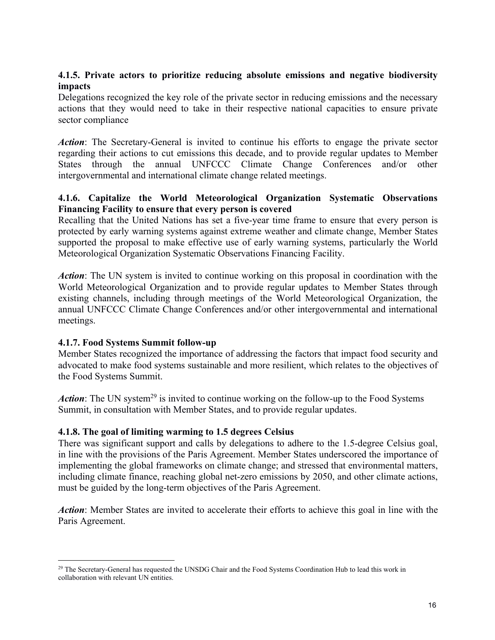# **4.1.5. Private actors to prioritize reducing absolute emissions and negative biodiversity impacts**

Delegations recognized the key role of the private sector in reducing emissions and the necessary actions that they would need to take in their respective national capacities to ensure private sector compliance

*Action*: The Secretary-General is invited to continue his efforts to engage the private sector regarding their actions to cut emissions this decade, and to provide regular updates to Member States through the annual UNFCCC Climate Change Conferences and/or other intergovernmental and international climate change related meetings.

# **4.1.6. Capitalize the World Meteorological Organization Systematic Observations Financing Facility to ensure that every person is covered**

Recalling that the United Nations has set a five-year time frame to ensure that every person is protected by early warning systems against extreme weather and climate change, Member States supported the proposal to make effective use of early warning systems, particularly the World Meteorological Organization Systematic Observations Financing Facility.

*Action*: The UN system is invited to continue working on this proposal in coordination with the World Meteorological Organization and to provide regular updates to Member States through existing channels, including through meetings of the World Meteorological Organization, the annual UNFCCC Climate Change Conferences and/or other intergovernmental and international meetings.

# **4.1.7. Food Systems Summit follow-up**

Member States recognized the importance of addressing the factors that impact food security and advocated to make food systems sustainable and more resilient, which relates to the objectives of the Food Systems Summit.

Action: The UN system<sup>[29](#page-15-0)</sup> is invited to continue working on the follow-up to the Food Systems Summit, in consultation with Member States, and to provide regular updates.

# **4.1.8. The goal of limiting warming to 1.5 degrees Celsius**

There was significant support and calls by delegations to adhere to the 1.5-degree Celsius goal, in line with the provisions of the Paris Agreement. Member States underscored the importance of implementing the global frameworks on climate change; and stressed that environmental matters, including climate finance, reaching global net-zero emissions by 2050, and other climate actions, must be guided by the long-term objectives of the Paris Agreement.

*Action*: Member States are invited to accelerate their efforts to achieve this goal in line with the Paris Agreement.

<span id="page-15-0"></span><sup>&</sup>lt;sup>29</sup> The Secretary-General has requested the UNSDG Chair and the Food Systems Coordination Hub to lead this work in collaboration with relevant UN entities.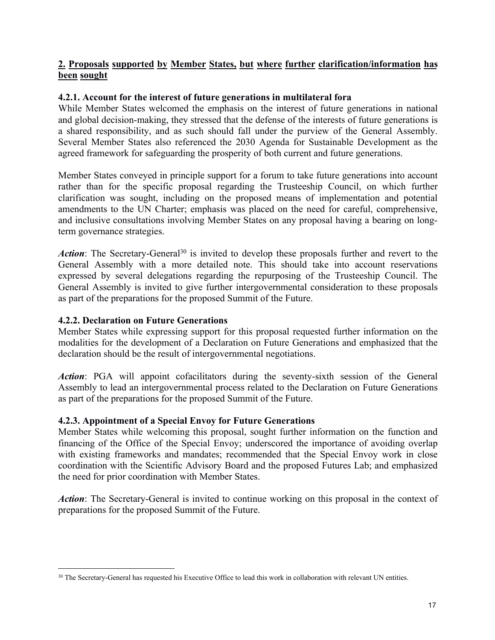# **2. Proposals supported by Member States, but where further clarification/information has been sought**

# **4.2.1. Account for the interest of future generations in multilateralfora**

While Member States welcomed the emphasis on the interest of future generations in national and global decision-making, they stressed that the defense of the interests of future generations is a shared responsibility, and as such should fall under the purview of the General Assembly. Several Member States also referenced the 2030 Agenda for Sustainable Development as the agreed framework for safeguarding the prosperity of both current and future generations.

Member States conveyed in principle support for a forum to take future generations into account rather than for the specific proposal regarding the Trusteeship Council, on which further clarification was sought, including on the proposed means of implementation and potential amendments to the UN Charter; emphasis was placed on the need for careful, comprehensive, and inclusive consultations involving Member States on any proposal having a bearing on longterm governance strategies.

Action: The Secretary-General<sup>[30](#page-16-0)</sup> is invited to develop these proposals further and revert to the General Assembly with a more detailed note. This should take into account reservations expressed by several delegations regarding the repurposing of the Trusteeship Council. The General Assembly is invited to give further intergovernmental consideration to these proposals as part of the preparations for the proposed Summit of the Future.

## **4.2.2. Declaration on Future Generations**

Member States while expressing support for this proposal requested further information on the modalities for the development of a Declaration on Future Generations and emphasized that the declaration should be the result of intergovernmental negotiations.

*Action*: PGA will appoint cofacilitators during the seventy-sixth session of the General Assembly to lead an intergovernmental process related to the Declaration on Future Generations as part of the preparations for the proposed Summit of the Future.

### **4.2.3. Appointment of a Special Envoy for Future Generations**

Member States while welcoming this proposal, sought further information on the function and financing of the Office of the Special Envoy; underscored the importance of avoiding overlap with existing frameworks and mandates; recommended that the Special Envoy work in close coordination with the Scientific Advisory Board and the proposed Futures Lab; and emphasized the need for prior coordination with Member States.

*Action*: The Secretary-General is invited to continue working on this proposal in the context of preparations for the proposed Summit of the Future.

<span id="page-16-0"></span><sup>&</sup>lt;sup>30</sup> The Secretary-General has requested his Executive Office to lead this work in collaboration with relevant UN entities.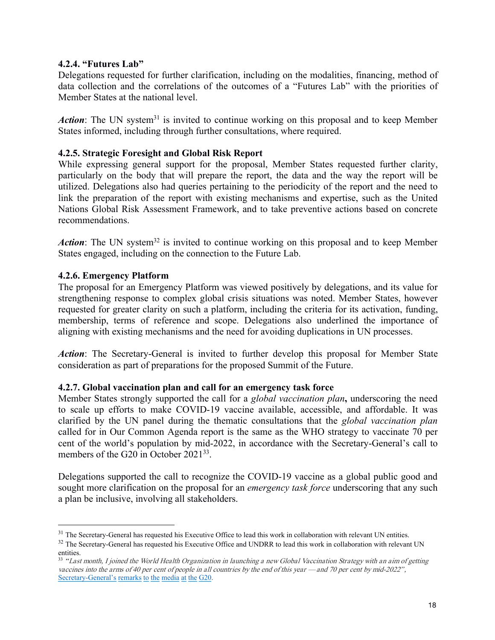## **4.2.4. "Futures Lab"**

Delegations requested for further clarification, including on the modalities, financing, method of data collection and the correlations of the outcomes of a "Futures Lab" with the priorities of Member States at the national level.

Action: The UN system<sup>[31](#page-17-0)</sup> is invited to continue working on this proposal and to keep Member States informed, including through further consultations, where required.

### **4.2.5. Strategic Foresight and Global Risk Report**

While expressing general support for the proposal, Member States requested further clarity, particularly on the body that will prepare the report, the data and the way the report will be utilized. Delegations also had queries pertaining to the periodicity of the report and the need to link the preparation of the report with existing mechanisms and expertise, such as the United Nations Global Risk Assessment Framework, and to take preventive actions based on concrete recommendations.

Action: The UN system<sup>[32](#page-17-1)</sup> is invited to continue working on this proposal and to keep Member States engaged, including on the connection to the Future Lab.

## **4.2.6. Emergency Platform**

The proposal for an Emergency Platform was viewed positively by delegations, and its value for strengthening response to complex global crisis situations was noted. Member States, however requested for greater clarity on such a platform, including the criteria for its activation, funding, membership, terms of reference and scope. Delegations also underlined the importance of aligning with existing mechanisms and the need for avoiding duplications in UN processes.

*Action*: The Secretary-General is invited to further develop this proposal for Member State consideration as part of preparations for the proposed Summit of the Future.

### **4.2.7. Global vaccination plan and call for an emergency task force**

Member States strongly supported the call for a *global vaccination plan***,** underscoring the need to scale up efforts to make COVID-19 vaccine available, accessible, and affordable. It was clarified by the UN panel during the thematic consultations that the *global vaccination plan* called for in Our Common Agenda report is the same as the WHO strategy to vaccinate 70 per cent of the world's population by mid-2022, in accordance with the Secretary-General's call to members of the G20 in October  $2021^{33}$  $2021^{33}$  $2021^{33}$ . .

Delegations supported the call to recognize the COVID-19 vaccine as a global public good and sought more clarification on the proposal for an *emergency task force* underscoring that any such a plan be inclusive, involving all stakeholders.

<span id="page-17-0"></span><sup>&</sup>lt;sup>31</sup> The Secretary-General has requested his Executive Office to lead this work in collaboration with relevant UN entities.

<span id="page-17-1"></span><sup>&</sup>lt;sup>32</sup> The Secretary-General has requested his Executive Office and UNDRR to lead this work in collaboration with relevant UN entities.

<span id="page-17-2"></span><sup>&</sup>lt;sup>33</sup> "Last month, I joined the World Health Organization in launching a new Global Vaccination Strategy with an aim of getting vaccines into the arms of 40 per cent of people in all countries by the end of this year —and 70 per cent by mid-2022", [Secretary-General's](https://www.un.org/sg/en/content/sg/press-encounter/2021-10-29/secretary-generals-remarks-the-media-the-g20) remarks to the media at the G20.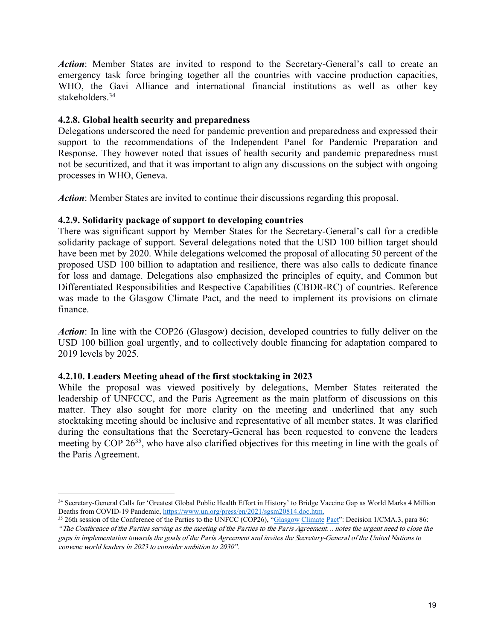*Action*: Member States are invited to respond to the Secretary-General's call to create an emergency task force bringing together all the countries with vaccine production capacities, WHO, the Gavi Alliance and international financial institutions as well as other key stakeholders.<sup>[34](#page-18-0)</sup>

## **4.2.8. Global health security and preparedness**

Delegations underscored the need for pandemic prevention and preparedness and expressed their support to the recommendations of the Independent Panel for Pandemic Preparation and Response. They however noted that issues of health security and pandemic preparedness must not be securitized, and that it was important to align any discussions on the subject with ongoing processes in WHO, Geneva.

*Action*: Member States are invited to continue their discussions regarding this proposal.

## **4.2.9. Solidarity package of support to developing countries**

There was significant support by Member States for the Secretary-General's call for a credible solidarity package of support. Several delegations noted that the USD 100 billion target should have been met by 2020. While delegations welcomed the proposal of allocating 50 percent of the proposed USD 100 billion to adaptation and resilience, there was also calls to dedicate finance for loss and damage. Delegations also emphasized the principles of equity, and Common but Differentiated Responsibilities and Respective Capabilities (CBDR-RC) of countries. Reference was made to the Glasgow Climate Pact, and the need to implement its provisions on climate finance.

*Action*: In line with the COP26 (Glasgow) decision, developed countries to fully deliver on the USD 100 billion goal urgently, and to collectively double financing for adaptation compared to 2019 levels by 2025.

# **4.2.10. Leaders Meeting ahead of the first stocktaking in 2023**

While the proposal was viewed positively by delegations, Member States reiterated the leadership of UNFCCC, and the Paris Agreement as the main platform of discussions on this matter. They also sought for more clarity on the meeting and underlined that any such stocktaking meeting should be inclusive and representative of all member states. It was clarified during the consultations that the Secretary-General has been requested to convene the leaders meeting by COP 26<sup>[35](#page-18-1)</sup>, who have also clarified objectives for this meeting in line with the goals of the Paris Agreement.

<span id="page-18-0"></span><sup>34</sup> Secretary-General Calls for 'Greatest Global Public Health Effort in History' to Bridge Vaccine Gap as World Marks 4 Million Deaths from COVID-19 Pandemic, <https://www.un.org/press/en/2021/sgsm20814.doc.htm>.

<span id="page-18-1"></span><sup>&</sup>lt;sup>35</sup> 26th session of the Conference of the Parties to the UNFCC (COP26), "[Glasgow](https://unfccc.int/sites/default/files/resource/cma2021_L16_adv.pdf) Climate Pact": Decision 1/CMA.3, para 86:

<sup>&</sup>quot;The Conference of the Parties serving as the meeting of the Parties to the Paris Agreement…notes the urgent need to close the gaps in implementation towards the goals ofthe Paris Agreement and invites the Secretary-General of the United Nations to convene world leaders in <sup>2023</sup> to consider ambition to 2030" .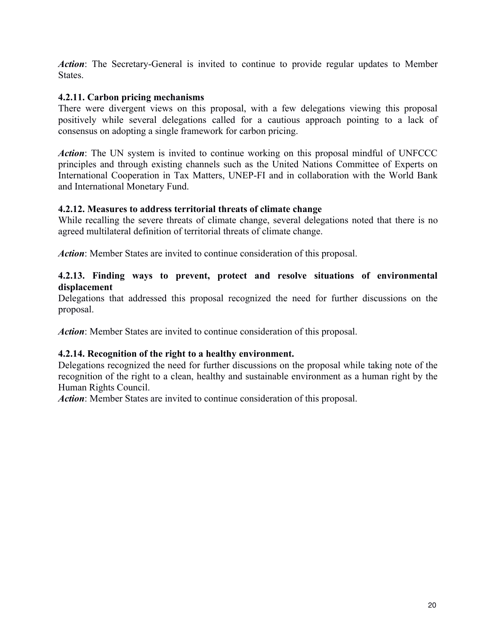*Action*: The Secretary-General is invited to continue to provide regular updates to Member **States** 

# **4.2.11. Carbon pricing mechanisms**

There were divergent views on this proposal, with a few delegations viewing this proposal positively while several delegations called for a cautious approach pointing to alack of consensus on adopting a single framework for carbon pricing.

*Action*: The UN system is invited to continue working on this proposal mindful of UNFCCC principles and through existing channels such as the United Nations Committee of Experts on International Cooperation in Tax Matters, UNEP-FI and in collaboration with the World Bank and International Monetary Fund.

## **4.2.12. Measures to address territorial threats ofclimate change**

While recalling the severe threats of climate change, several delegations noted that there is no agreed multilateral definition of territorial threats of climate change.

*Action*: Member States are invited to continue consideration of this proposal.

## **4.2.13. Finding ways to prevent, protect and resolve situations of environmental displacement**

Delegations that addressed this proposal recognized the need for further discussions on the proposal.

*Action*: Member States are invited to continue consideration of this proposal.

# **4.2.14. Recognition of the right to a healthy environment.**

Delegations recognized the need for further discussions on the proposal while taking note of the recognition of the right to a clean, healthy and sustainable environment as a human right by the Human Rights Council.

*Action*: Member States are invited to continue consideration of this proposal.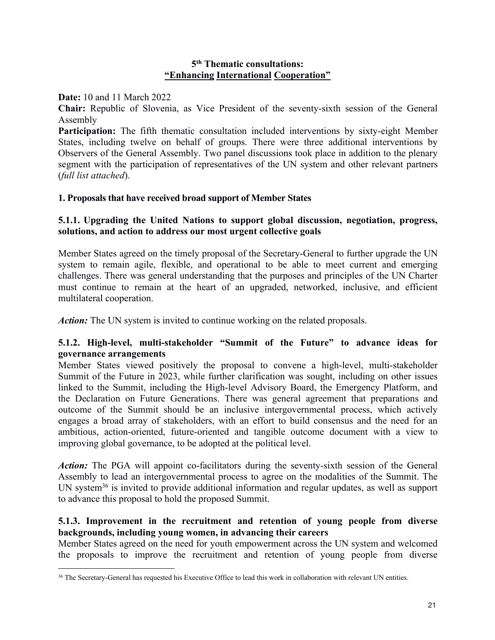### **5 th Thematic consultations: "Enhancing International Cooperation"**

**Date:** 10 and 11 March 2022

**Chair:** Republic of Slovenia, as Vice President of the seventy-sixth session of the General Assembly

**Participation:** The fifth thematic consultation included interventions by sixty-eight Member States, including twelve on behalf of groups. There were three additional interventions by Observers of the General Assembly. Two panel discussions took place in addition to the plenary segment with the participation of representatives of the UN system and other relevant partners (*full list attached*).

### **1. Proposals that have received broad support of Member States**

## **5.1.1. Upgrading the United Nations to support global discussion, negotiation, progress, solutions, and action to address our most urgent collective goals**

Member States agreed on the timely proposal of the Secretary-General to further upgrade the UN system to remain agile, flexible, and operational to be able to meet current and emerging challenges. There was general understanding that the purposes and principles of the UN Charter must continue to remain at the heart of an upgraded, networked, inclusive, and efficient multilateral cooperation.

*Action:* The UN system is invited to continue working on the related proposals.

## **5.1.2. High-level, multi-stakeholder "Summit of the Future" to advance ideas for governance arrangements**

Member States viewed positively the proposal to convene a high-level, multi-stakeholder Summit of the Future in 2023, while further clarification was sought, including on other issues linked to the Summit, including the High-level Advisory Board, the Emergency Platform, and the Declaration on Future Generations. There was general agreement that preparations and outcome of the Summit should be an inclusive intergovernmental process, which actively engages a broad array of stakeholders, with an effort to build consensus and the need for an ambitious, action-oriented, future-oriented and tangible outcome document with a view to improving global governance, to be adopted at the political level.

Action: The PGA will appoint co-facilitators during the seventy-sixth session of the General Assembly to lead an intergovernmental process to agree on the modalities of the Summit. The UN system<sup>[36](#page-20-0)</sup> is invited to provide additional information and regular updates, as well as support to advance this proposal to hold the proposed Summit.

## **5.1.3. Improvement in the recruitment and retention of young people from diverse backgrounds, including young women, in advancing their careers**

Member States agreed on the need for youth empowerment across the UN system and welcomed the proposals to improve the recruitment and retention of young people from diverse

<span id="page-20-0"></span><sup>&</sup>lt;sup>36</sup> The Secretary-General has requested his Executive Office to lead this work in collaboration with relevant UN entities.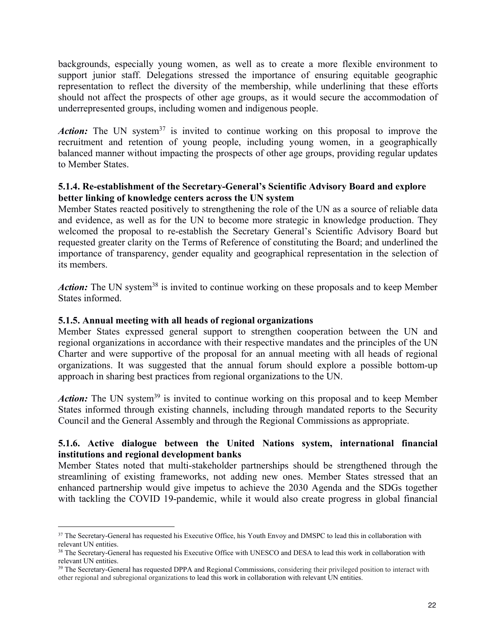backgrounds, especially young women, as well as to create a more flexible environment to support junior staff. Delegations stressed the importance of ensuring equitable geographic representation to reflect the diversity of the membership, while underlining that these efforts should not affect the prospects of other age groups, as it would secure the accommodation of underrepresented groups, including women and indigenous people.

Action: The UN system<sup>[37](#page-21-0)</sup> is invited to continue working on this proposal to improve the recruitment and retention of young people, including young women, in a geographically balanced manner without impacting the prospects of other age groups, providing regular updates to Member States.

# **5.1.4. Re-establishment of the Secretary-General's Scientific Advisory Board and explore better linking of knowledge centers across the UN system**

Member States reacted positively to strengthening the role of the UN as a source of reliable data and evidence, as well as for the UN to become more strategic in knowledge production. They welcomed the proposal to re-establish the Secretary General's Scientific Advisory Board but requested greater clarity on the Terms of Reference of constituting the Board; and underlined the importance of transparency, gender equality and geographical representation in the selection of its members.

Action: The UN system<sup>[38](#page-21-1)</sup> is invited to continue working on these proposals and to keep Member States informed.

## **5.1.5. Annual meeting with all heads ofregional organizations**

Member States expressed general support to strengthen cooperation between the UN and regional organizations in accordance with their respective mandates and the principles of the UN Charter and were supportive of the proposal for an annual meeting with all heads of regional organizations. It was suggested that the annual forum should explore a possible bottom-up approach in sharing best practices from regional organizations to the UN.

Action: The UN system<sup>[39](#page-21-2)</sup> is invited to continue working on this proposal and to keep Member States informed through existing channels, including through mandated reports to the Security Council and the General Assembly and through the Regional Commissions as appropriate.

# **5.1.6.** Active dialogue between the United Nations system, international financial **institutions and regional development banks**

Member States noted that multi-stakeholder partnerships should be strengthened through the streamlining of existing frameworks, not adding new ones. Member States stressed that an enhanced partnership would give impetus to achieve the 2030 Agenda and the SDGs together with tackling the COVID 19-pandemic, while it would also create progress in global financial

<span id="page-21-0"></span><sup>&</sup>lt;sup>37</sup> The Secretary-General has requested his Executive Office, his Youth Envoy and DMSPC to lead this in collaboration with relevant UN entities.

<span id="page-21-1"></span><sup>&</sup>lt;sup>38</sup> The Secretary-General has requested his Executive Office with UNESCO and DESA to lead this work in collaboration with relevant UN entities.

<span id="page-21-2"></span><sup>&</sup>lt;sup>39</sup> The Secretary-General has requested DPPA and Regional Commissions, considering their privileged position to interact with other regional and subregional organizations to lead this work in collaboration with relevant UN entities.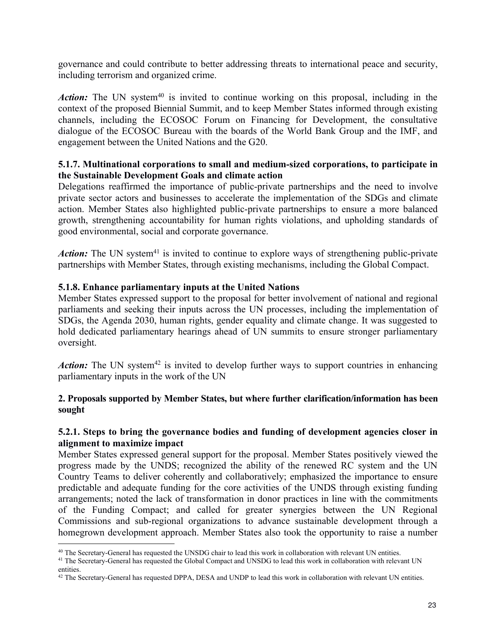governance and could contribute to better addressing threats to international peace and security, including terrorism and organized crime.

Action: The UN system<sup>[40](#page-22-0)</sup> is invited to continue working on this proposal, including in the context of the proposed Biennial Summit, and to keep Member States informed through existing channels, including the ECOSOC Forum on Financing for Development, the consultative dialogue of the ECOSOC Bureau with the boards of the World Bank Group and the IMF, and engagement between the United Nations and the G20.

## **5.1.7. Multinational corporations to small and medium-sized corporations, to participate in the Sustainable Development Goals and climate action**

Delegations reaffirmed the importance of public-private partnerships and the need to involve private sector actors and businesses to accelerate the implementation of the SDGs and climate action. Member States also highlighted public-private partnerships to ensure a more balanced growth, strengthening accountability for human rights violations, and upholding standards of good environmental, social and corporate governance.

Action: The UN system<sup>[41](#page-22-1)</sup> is invited to continue to explore ways of strengthening public-private partnerships with Member States, through existing mechanisms, including the Global Compact.

## **5.1.8. Enhance parliamentary inputs at the United Nations**

Member States expressed support to the proposal for better involvement of national and regional parliaments and seeking their inputs across the UN processes, including the implementation of SDGs, the Agenda 2030, human rights, gender equality and climate change. It was suggested to hold dedicated parliamentary hearings ahead of UN summits to ensure stronger parliamentary oversight.

Action: The UN system<sup>[42](#page-22-2)</sup> is invited to develop further ways to support countries in enhancing parliamentary inputs in the work of the UN

## **2. Proposals supported by Member States, but where further clarification/information has been sought**

## **5.2.1. Steps to bring the governance bodies and funding of development agencies closer in alignment to maximize impact**

Member States expressed general support for the proposal. Member States positively viewed the progress made by the UNDS; recognized the ability of the renewed RC system and the UN Country Teams to deliver coherently and collaboratively; emphasized the importance to ensure predictable and adequate funding for the core activities of the UNDS through existing funding arrangements; noted the lack of transformation in donor practices in line with the commitments of the Funding Compact; and called for greater synergies between the UN Regional Commissions and sub-regional organizations to advance sustainable development through a homegrown development approach. Member States also took the opportunity to raise a number

<span id="page-22-0"></span><sup>&</sup>lt;sup>40</sup> The Secretary-General has requested the UNSDG chair to lead this work in collaboration with relevant UN entities.

<span id="page-22-1"></span><sup>&</sup>lt;sup>41</sup> The Secretary-General has requested the Global Compact and UNSDG to lead this work in collaboration with relevant UN entities.

<span id="page-22-2"></span><sup>&</sup>lt;sup>42</sup> The Secretary-General has requested DPPA, DESA and UNDP to lead this work in collaboration with relevant UN entities.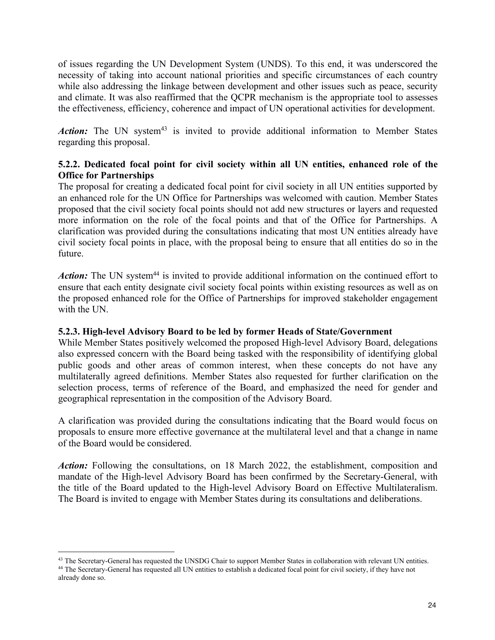of issues regarding the UN Development System (UNDS). To this end, it was underscored the necessity of taking into account national priorities and specific circumstances of each country while also addressing the linkage between development and other issues such as peace, security and climate. It was also reaffirmed that the QCPR mechanism is the appropriate tool to assesses the effectiveness, efficiency, coherence and impact of UN operational activities for development.

Action: The UN system<sup>[43](#page-23-0)</sup> is invited to provide additional information to Member States regarding this proposal.

# **5.2.2. Dedicated focal point for civil society within all UN entities, enhanced role of the Office for Partnerships**

The proposal for creating a dedicated focal point for civil society in all UN entities supported by an enhanced role for the UN Office for Partnerships was welcomed with caution. Member States proposed that the civil society focal points should not add new structures or layers and requested more information on the role of the focal points and that of the Office for Partnerships. A clarification was provided during the consultations indicating that most UN entities already have civil society focal points in place, with the proposal being to ensure that allentities do so in the future.

Action: The UN system<sup>[44](#page-23-1)</sup> is invited to provide additional information on the continued effort to ensure that each entity designate civil society focal points within existing resources as well as on the proposed enhanced role for the Office of Partnerships for improved stakeholder engagement with the UN.

# **5.2.3. High-level Advisory Board tobe led by former Heads ofState/Government**

While Member States positively welcomed the proposed High-level Advisory Board, delegations also expressed concern with the Board being tasked with the responsibility of identifying global public goods and other areas of common interest, when these concepts do not have any multilaterally agreed definitions. Member States also requested for further clarification on the selection process, terms of reference of the Board, and emphasized the need for gender and geographical representation in the composition of the Advisory Board.

A clarification was provided during the consultations indicating that the Board would focus on proposals to ensure more effective governance at the multilateral level and that a change in name of the Board would be considered.

*Action:* Following the consultations, on 18 March 2022, the establishment, composition and mandate of the High-level Advisory Board has been confirmed by the Secretary-General, with the title of the Board updated to the High-level Advisory Board on Effective Multilateralism. The Board is invited to engage with Member States during its consultations and deliberations.

<span id="page-23-1"></span><span id="page-23-0"></span><sup>&</sup>lt;sup>43</sup> The Secretary-General has requested the UNSDG Chair to support Member States in collaboration with relevant UN entities. <sup>44</sup> The Secretary-General has requested all UN entities to establish a dedicated focal point for civil society, if they have not already done so.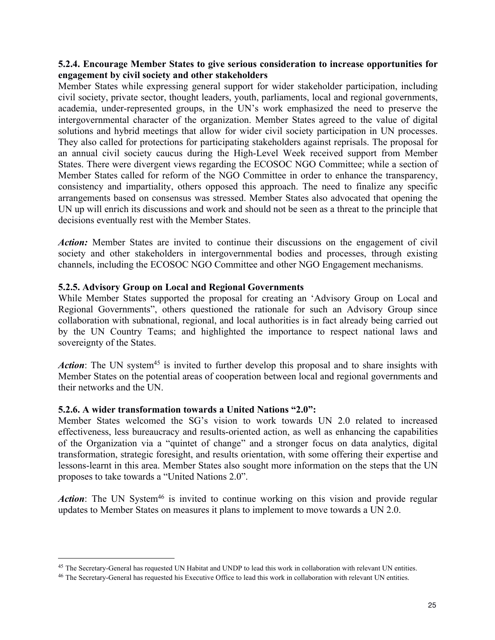### **5.2.4. Encourage Member States to give serious consideration to increase opportunities for engagement by civil society and other stakeholders**

Member States while expressing general support for wider stakeholder participation, including civil society, private sector, thought leaders, youth, parliaments, local and regional governments, academia, under-represented groups, in the UN's work emphasized the need to preserve the intergovernmental character of the organization. Member States agreed to the value of digital solutions and hybrid meetings that allow for wider civil society participation in UN processes. They also called for protections for participating stakeholders against reprisals. The proposal for an annual civil society caucus during the High-Level Week received support from Member States. There were divergent views regarding the ECOSOC NGO Committee; while a section of Member States called for reform of the NGO Committee in order to enhance the transparency, consistency and impartiality, others opposed this approach. The need to finalize any specific arrangements based on consensus was stressed. Member States also advocated that opening the UN up will enrich its discussions and work and should not be seen as a threat to the principle that decisions eventually rest with the Member States.

*Action:* Member States are invited to continue their discussions on the engagement of civil society and other stakeholders in intergovernmental bodies and processes, through existing channels, including the ECOSOC NGO Committee and other NGO Engagement mechanisms.

## **5.2.5. Advisory Group on Local and Regional Governments**

While Member States supported the proposal for creating an 'Advisory Group on Local and Regional Governments", others questioned the rationale for such an Advisory Group since collaboration with subnational, regional, and local authorities is in fact already being carried out by the UN Country Teams; and highlighted the importance to respect national laws and sovereignty of the States.

Action: The UN system<sup>[45](#page-24-0)</sup> is invited to further develop this proposal and to share insights with Member States on the potential areas of cooperation between local and regional governments and their networks and the UN.

### **5.2.6. A wider transformation towards a United Nations "2.0":**

Member States welcomed the SG's vision to work towards UN 2.0 related to increased effectiveness, less bureaucracy and results-oriented action, as well as enhancing the capabilities of the Organization via a "quintet of change" and a stronger focus on data analytics, digital transformation, strategic foresight, and results orientation, with some offering their expertise and lessons-learnt in this area. Member States also sought more information on the steps that the UN proposes to take towards a "United Nations 2.0".

Action: The UN System<sup>[46](#page-24-1)</sup> is invited to continue working on this vision and provide regular updates to Member States on measures it plans to implement to move towards a UN 2.0.

<span id="page-24-0"></span><sup>&</sup>lt;sup>45</sup> The Secretary-General has requested UN Habitat and UNDP to lead this work in collaboration with relevant UN entities.

<span id="page-24-1"></span><sup>46</sup> The Secretary-General has requested his Executive Office to lead this work in collaboration with relevant UN entities.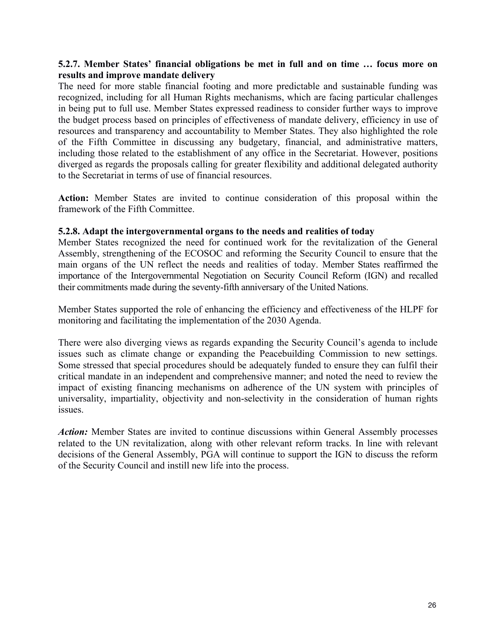### **5.2.7. Member States' financial obligations be met in full and on time … focus more on results and improve mandate delivery**

The need for more stable financial footing and more predictable and sustainable funding was recognized, including for all Human Rights mechanisms, which are facing particular challenges in being put to full use. Member States expressed readiness to consider further ways to improve the budget process based on principles of effectiveness of mandate delivery, efficiency in use of resources and transparency and accountability to Member States. They also highlighted the role of the Fifth Committee in discussing any budgetary, financial, and administrative matters, including those related to the establishment of any office in the Secretariat. However, positions diverged as regards the proposals calling for greater flexibility and additional delegated authority to the Secretariat in terms of use of financial resources.

**Action:** Member States are invited to continue consideration of this proposal within the framework of the Fifth Committee.

## **5.2.8. Adapt the intergovernmental organs to the needs and realities oftoday**

Member States recognized the need for continued work for the revitalization of the General Assembly, strengthening of the ECOSOC and reforming the Security Council to ensure that the main organs of the UN reflect the needs and realities of today. Member States reaffirmed the importance of the Intergovernmental Negotiation on Security Council Reform (IGN) and recalled their commitments made during the seventy-fifth anniversary of the United Nations.

Member States supported the role of enhancing the efficiency and effectiveness of the HLPF for monitoring and facilitating the implementation of the 2030 Agenda.

There were also diverging views as regards expanding the Security Council's agenda to include issues such as climate change or expanding the Peacebuilding Commission to new settings. Some stressed that special procedures should be adequately funded to ensure they can fulfil their critical mandate in an independent and comprehensive manner; and noted the need to review the impact of existing financing mechanisms on adherence of the UN system with principles of universality, impartiality, objectivity and non-selectivity in the consideration of human rights issues.

*Action:* Member States are invited to continue discussions within General Assembly processes related to the UN revitalization, along with other relevant reform tracks. In line with relevant decisions of the General Assembly, PGA will continue to support the IGN to discuss the reform of the Security Council and instill new life into the process.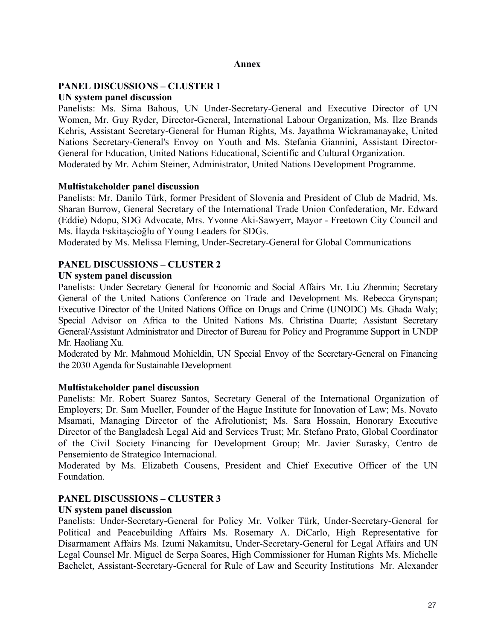#### **Annex**

#### **PANEL DISCUSSIONS – CLUSTER 1 UN system panel discussion**

Panelists: Ms. Sima Bahous, UN Under-Secretary-General and Executive Director of UN Women, Mr. Guy Ryder, Director-General, International Labour Organization, Ms. Ilze Brands Kehris, Assistant Secretary-General for Human Rights, Ms. Jayathma Wickramanayake, United Nations Secretary-General's Envoy on Youth and Ms. Stefania Giannini, Assistant Director- General for Education, United Nations Educational, Scientific and Cultural Organization. Moderated by Mr. Achim Steiner, Administrator, United Nations Development Programme.

#### **Multistakeholder panel discussion**

Panelists: Mr. Danilo Türk, former President of Slovenia and President of Club de Madrid, Ms. Sharan Burrow, General Secretary of the International Trade Union Confederation, Mr. Edward (Eddie) Ndopu, SDG Advocate, Mrs. Yvonne Aki-Sawyerr, Mayor - Freetown City Council and Ms. İlayda Eskitaşcioğlu of Young Leaders for SDGs.

Moderated by Ms. Melissa Fleming, Under-Secretary-General for Global Communications

## **PANEL DISCUSSIONS – CLUSTER 2**

### **UN system panel discussion**

Panelists: Under Secretary General for Economic and Social Affairs Mr. Liu Zhenmin; Secretary General of the United Nations Conference on Trade and Development Ms. Rebecca Grynspan; Executive Director of the United Nations Office on Drugs and Crime (UNODC) Ms. Ghada Waly; Special Advisor on Africa to the United Nations Ms. Christina Duarte; Assistant Secretary General/Assistant Administrator and Director of Bureau for Policy and Programme Support in UNDP Mr. Haoliang Xu.

Moderated by Mr. Mahmoud Mohieldin, UN Special Envoy of the Secretary-General on Financing the 2030 Agenda for Sustainable Development

### **Multistakeholder panel discussion**

Panelists: Mr. Robert Suarez Santos, Secretary General of the International Organization of Employers; Dr. Sam Mueller, Founder of the Hague Institute for Innovation of Law; Ms. Novato Msamati, Managing Director of the Afrolutionist; Ms. Sara Hossain, Honorary Executive Director of the Bangladesh Legal Aid and Services Trust; Mr. Stefano Prato, Global Coordinator of the Civil Society Financing for Development Group; Mr. Javier Surasky, Centro de Pensemiento de Strategico Internacional.

Moderated by Ms. Elizabeth Cousens, President and Chief Executive Officer of the UN Foundation.

### **PANEL DISCUSSIONS – CLUSTER 3**

### **UN system panel discussion**

Panelists: Under-Secretary-General for Policy Mr. Volker Türk, Under-Secretary-General for Political and Peacebuilding Affairs Ms. Rosemary A. DiCarlo, High Representative for Disarmament Affairs Ms. Izumi Nakamitsu, Under-Secretary-General for Legal Affairs and UN Legal Counsel Mr. Miguel de Serpa Soares, High Commissioner for Human Rights Ms. Michelle Bachelet, Assistant-Secretary-General for Rule of Law and Security Institutions Mr. Alexander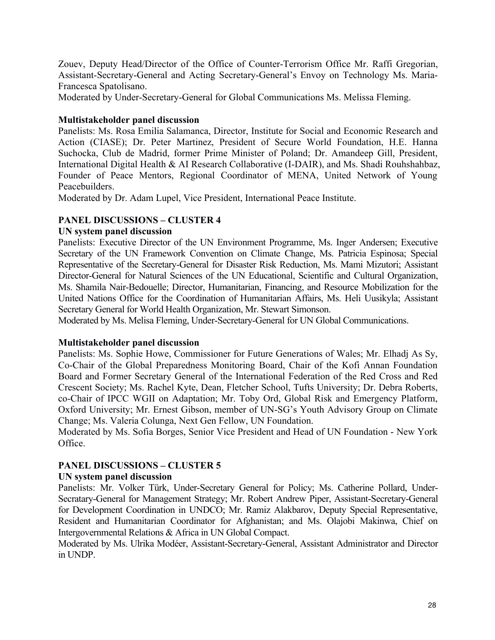Zouev, Deputy Head/Director of the Office of Counter-Terrorism Office Mr. Raffi Gregorian, Assistant-Secretary-General and Acting Secretary-General's Envoy on Technology Ms. Maria- Francesca Spatolisano.

Moderated by Under-Secretary-General for Global Communications Ms. Melissa Fleming.

## **Multistakeholder panel discussion**

Panelists: Ms. Rosa Emilia Salamanca, Director, Institute for Social and Economic Research and Action (CIASE); Dr. Peter Martinez, President of Secure World Foundation, H.E. Hanna Suchocka, Club de Madrid, former Prime Minister of Poland; Dr. Amandeep Gill, President, International Digital Health & AI Research Collaborative (I-DAIR), and Ms. Shadi Rouhshahbaz, Founder of Peace Mentors, Regional Coordinator of MENA, United Network of Young Peacebuilders.

Moderated by Dr. Adam Lupel, Vice President, International Peace Institute.

# **PANEL DISCUSSIONS – CLUSTER 4**

## **UN system panel discussion**

Panelists: Executive Director of the UN Environment Programme, Ms. Inger Andersen; Executive Secretary of the UN Framework Convention on Climate Change, Ms. Patricia Espinosa; Special Representative of the Secretary-General for Disaster Risk Reduction, Ms. Mami Mizutori; Assistant Director-General for Natural Sciences of the UN Educational, Scientific and Cultural Organization, Ms. Shamila Nair-Bedouelle; Director, Humanitarian, Financing, and Resource Mobilization for the United Nations Office for the Coordination of Humanitarian Affairs, Ms. Heli Uusikyla; Assistant Secretary General for World Health Organization, Mr. Stewart Simonson.

Moderated by Ms. Melisa Fleming, Under-Secretary-General for UN Global Communications.

### **Multistakeholder panel discussion**

Panelists: Ms. Sophie Howe, Commissioner for Future Generations of Wales; Mr. Elhadj As Sy, Co-Chair of the Global Preparedness Monitoring Board, Chair of the Kofi Annan Foundation Board and Former Secretary General of the International Federation of the Red Cross and Red Crescent Society; Ms. Rachel Kyte, Dean, Fletcher School, Tufts University; Dr. Debra Roberts, co-Chair of IPCC WGII on Adaptation; Mr. Toby Ord, Global Risk and Emergency Platform, Oxford University; Mr. Ernest Gibson, member of UN-SG's Youth Advisory Group on Climate Change; Ms. Valeria Colunga, Next Gen Fellow, UN Foundation.

Moderated by Ms. Sofia Borges, Senior Vice President and Head of UN Foundation - New York Office.

# **PANEL DISCUSSIONS – CLUSTER 5**

### **UN system panel discussion**

Panelists: Mr. Volker Türk, Under-Secretary General for Policy; Ms. Catherine Pollard, Under- Secratary-General for Management Strategy; Mr. Robert Andrew Piper, Assistant-Secretary-General for Development Coordination in UNDCO; Mr. Ramiz Alakbarov, Deputy Special Representative, Resident and Humanitarian Coordinator for Afghanistan; and Ms. Olajobi Makinwa, Chief on Intergovernmental Relations & Africa in UN Global Compact.

Moderated by Ms. Ulrika Modéer, Assistant-Secretary-General, Assistant Administrator and Director in UNDP.